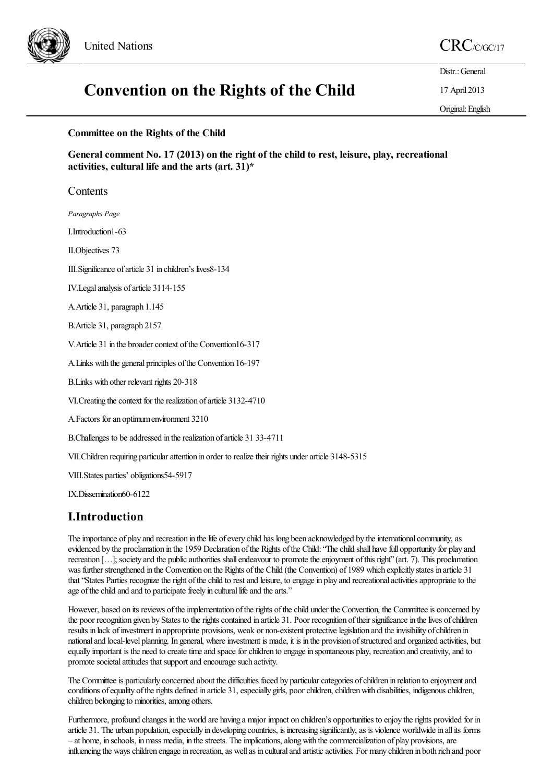

# United Nations CRC/C/GC/17

Distr.: General

17 April 2013

Original:English

# **Convention on the Rights of the Child**

## **Committee on the Rights of the Child**

**General comment No. 17 (2013) on the right of the child to rest, leisure, play, recreational activities, cultural life and the arts (art. 31)\***

**Contents** 

*Paragraphs Page*

I.Introduction1-63

II.Objectives 73

III.Significance ofarticle 31 in children's lives8-134

IV.Legal analysis of article 3114-155

A.Article 31, paragraph 1.145

B.Article 31, paragraph 2157

V. Article 31 in the broader context of the Convention16-317

A. Links with the general principles of the Convention 16-197

B.Links with other relevant rights 20-318

VI. Creating the context for the realization of article 3132-4710

A. Factors for an optimum environment 3210

B.Challenges to be addressed in the realization of article 31 33-4711

VII. Children requiring particular attention in order to realize their rights under article 3148-5315

VIII.States parties' obligations54-5917

IX.Dissemination60-6122

## **I.Introduction**

The importance of play and recreation in the life of every child has long been acknowledged by the international community, as evidenced by the proclamation in the 1959 Declaration of the Rights of the Child: "The child shall have full opportunity for play and recreation [...]; society and the public authorities shall endeavour to promote the enjoyment of this right" (art. 7). This proclamation was further strengthened in the Convention on the Rights of the Child (the Convention) of 1989 which explicitly states in article 31 that "States Parties recognize the right of the child to rest and leisure, to engage in play and recreational activities appropriate to the age of the child and and to participate freely in cultural life and the arts."

However, based on its reviews of the implementation of the rights of the child under the Convention, the Committee is concerned by the poor recognition given by States to the rights contained in article 31. Poor recognition of their significance in the lives of children results in lack of investment in appropriate provisions, weak or non-existent protective legislation and the invisibility of children in national and local-level planning. In general, where investment is made, it is in the provision of structured and organized activities, but equally important is the need to create time and space for children to engage in spontaneous play, recreation and creativity, and to promote societal attitudes that support and encourage such activity.

The Committee is particularly concerned about the difficulties faced by particular categories of children in relation to enjoyment and conditions of equality of the rights defined in article 31, especially girls, poor children, children with disabilities, indigenous children, children belonging to minorities, among others.

Furthermore, profound changes in the world are having a major impact on children's opportunities to enjoy therights provided for in article 31. The urban population, especially in developing countries, is increasing significantly, as is violence worldwide in all its forms  $-$  at home, in schools, in mass media, in the streets. The implications, along with the commercialization of play provisions, are influencing the ways children engage in recreation, as well as in cultural and artistic activities. For many children in both rich and poor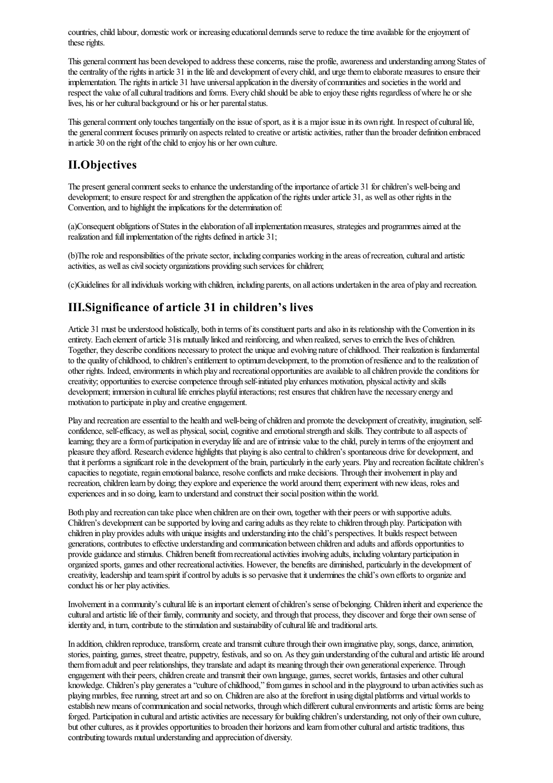countries, child labour, domestic work or increasing educational demands serve to reduce the time available for the enjoyment of these rights.

This general comment has been developed to address these concerns, raise the profile, awareness and understanding among States of the centrality of the rights in article 31 in the life and development of every child, and urge them to elaborate measures to ensure their implementation. The rights in article 31 have universal application in the diversity of communities and societies in the world and respect the value of all cultural traditions and forms. Every child should be able to enjoy these rights regardless of where he or she lives, his or her cultural background or his or her parental status.

This general comment only touches tangentially on the issue of sport, as it is a major issue in its own right. In respect of cultural life, the general comment focuses primarily on aspects related to creative or artistic activities, rather than the broader definition embraced in article 30 on the right of the child to enjoy his or her own culture.

## **II.Objectives**

The present general comment seeks to enhance the understanding of the importance of article 31 for children's well-being and development; to ensure respect for and strengthen the application of the rights under article 31, as well as other rights in the Convention, and to highlight the implications for the determination of:

(a)Consequent obligations of States in the elaboration of all implementation measures, strategies and programmes aimed at the realization and full implementation of the rights defined in article 31;

(b)The role and responsibilities of the private sector, including companies working in the areas of recreation, cultural and artistic activities, as well as civil society organizations providing such services for children;

(c)Guidelines forallindividuals workingwith children, including parents, on allactions undertaken in thearea of play and recreation.

## **III.Significance of article 31 in children's lives**

Article 31 must be understood holistically, both in terms of its constituent parts and also in its relationship with the Convention in its entirety. Each element of article 31 is mutually linked and reinforcing, and when realized, serves to enrich the lives of children. Together, they describe conditions necessary to protect the unique and evolving nature of childhood. Their realization is fundamental to the quality of childhood, to children's entitlement to optimum development, to the promotion of resilience and to the realization of other rights. Indeed, environments in which play and recreational opportunities are available to all children provide the conditions for creativity; opportunities to exercise competence through self-initiated play enhances motivation, physical activity and skills development; immersion in cultural life enriches playful interactions; rest ensures that children have the necessary energy and motivation to participate in play and creative engagement.

Play and recreation are essential to the health and well-being of children and promote the development of creativity, imagination, selfconfidence, self-efficacy, as well as physical, social, cognitive and emotional strength and skills. They contribute to all aspects of learning; they are a form of participation in everyday life and are of intrinsic value to the child, purely in terms of the enjoyment and pleasure they afford. Research evidence highlights that playing is also central to children's spontaneous drive for development, and that it performs a significant role in the development of the brain, particularly in the early years. Play and recreation facilitate children's capacities to negotiate, regain emotional balance, resolveconflictsand make decisions. Through their involvement in play and recreation, children learn by doing; they explore and experience the world around them; experiment with new ideas, roles and experiences and in so doing, learn to understand and construct their social position within the world.

Both play and recreation can take place when children are on their own, together with their peers or with supportive adults. Children's development can be supported by loving and caring adults as they relate to children through play. Participation with children in play provides adults with unique insights and understanding into the child's perspectives. It builds respect between generations, contributes to effective understanding and communication between children and adults and affords opportunities to provide guidance and stimulus. Children benefit from recreational activities involving adults, including voluntary participation in organized sports, games and other recreational activities. However, the benefits are diminished, particularly in the development of creativity, leadership and teamspirit ifcontrol by adults is so pervasivethat it undermines thechild's own efforts to organizeand conduct his or her play activities.

Involvement in a community's cultural life is an important element of children's sense of belonging. Children inherit and experience the cultural and artistic life of their family, community and society, and through that process, they discover and forge their own sense of identity and, in turn, contribute to the stimulation and sustainability of cultural life and traditional arts.

In addition, children reproduce, transform, create and transmit culture through their own imaginative play, songs, dance, animation, stories, painting, games, street theatre, puppetry, festivals, and so on. As they gain understanding of the cultural and artistic life around them from adult and peer relationships, they translate and adapt its meaning through their own generational experience. Through engagement with their peers, children create and transmit their own language, games, secret worlds, fantasies and other cultural knowledge. Children's play generates a "culture of childhood," from games in school and in the playground to urban activities such as playing marbles, free running, street art and so on. Children are also at the forefront in using digital platforms and virtual worlds to establish new means of communication and social networks, through which different cultural environments and artistic forms are being forged. Participation in cultural and artistic activities are necessary for building children's understanding, not only of their own culture, but other cultures, as it provides opportunities to broaden their horizons and learn from other cultural and artistic traditions, thus contributing towards mutual understanding and appreciation of diversity.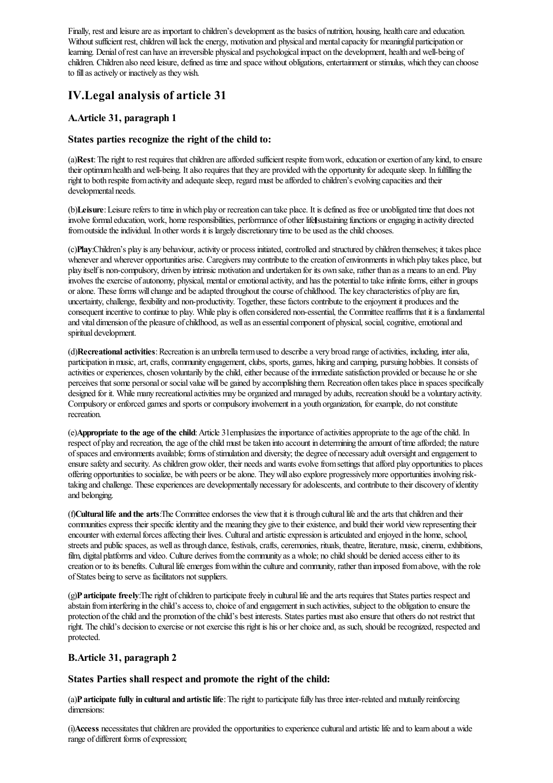Finally, rest and leisure are as important to children's development as the basics of nutrition, housing, health care and education. Without sufficient rest, children will lack the energy, motivation and physical and mental capacity for meaningful participation or learning. Denial of rest can have an irreversible physical and psychological impact on the development, health and well-being of children. Children also need leisure, defined as time and space without obligations, entertainment or stimulus, which they can choose to fill as actively or inactively as they wish.

# **IV.Legal analysis of article 31**

## **A.Article 31, paragraph 1**

### **States parties recognize the right of the child to:**

(a) Rest: The right to rest requires that children are afforded sufficient respite from work, education or exertion of any kind, to ensure their optimum health and well-being. It also requires that they are provided with the opportunity for adequate sleep. In fulfilling the right to both respite from activity and adequate sleep, regard must be afforded to children's evolving capacities and their developmental needs.

(b)**Leisure**: Leisure refers to time in which play or recreation can take place. It is defined as free or unobligated time that does not involve formal education, work, home responsibilities, performance of other life sustaining functions or engaging in activity directed from outside the individual. In other words it is largely discretionary time to be used as the child chooses.

(c)Play:Children's play is any behaviour, activity or process initiated, controlled and structured by children themselves; it takes place whenever and wherever opportunities arise. Caregivers may contribute to the creation of environments in which play takes place, but play itselfis non-compulsory, driven by intrinsic motivation and undertaken for its own sake, rather than asa means to an end. Play involves the exercise of autonomy, physical, mental or emotional activity, and has the potential to take infinite forms, either in groups or alone. These forms will change and be adapted throughout the course of childhood. The key characteristics of play are fun, uncertainty, challenge, flexibility and non-productivity. Together, these factors contribute to the enjoyment it produces and the consequent incentive to continue to play. While play is often considered non-essential, the Committee reaffirms that it is a fundamental and vital dimension of the pleasure of childhood, as well as an essential component of physical, social, cognitive, emotional and spiritual development.

(d)**Recreational activities**: Recreation is an umbrella termused to describe a very broad range of activities, including, inter alia, participation in music, art, crafts, community engagement, clubs, sports, games, hiking and camping, pursuing hobbies. It consists of activities or experiences, chosen voluntarily by the child, either because of the immediate satisfaction provided or because he or she perceives thatsome personal or social value will be gained by accomplishing them. Recreation often takes placein spaces specifically designed for it. While many recreational activities may be organized and managed by adults, recreation should be a voluntary activity. Compulsory or enforced games and sports or compulsory involvement in a youth organization, for example, do not constitute recreation.

(e)**Appropriate to the age of the child**:Article 31emphasizes theimportance ofactivitiesappropriateto theage ofthechild. In respect of play and recreation, the age of the child must be taken into account in determining the amount of time afforded; the nature ofspacesand environmentsavailable; forms ofstimulation and diversity; the degree of necessary adult oversightand engagement to ensure safety and security. As children grow older, their needs and wants evolve from settings that afford play opportunities to places offering opportunities to socialize, be with peers or bealone. Theywillalso explore progressivelymore opportunities involving risktaking and challenge. These experiences are developmentally necessary for adolescents, and contribute to their discovery of identity and belonging.

(f)**Cultural life and the arts**:The Committeeendorses the viewthat it is through culturallifeand thearts thatchildren and their communities express their specific identity and the meaning they give to their existence, and build their world view representing their encounter with external forces affecting their lives. Cultural and artistic expression is articulated and enjoyed in the home, school, streets and public spaces, as well as through dance, festivals, crafts, ceremonies, rituals, theatre, literature, music, cinema, exhibitions, film, digital platforms and video. Culture derives from the community as a whole; no child should be denied access either to its creation or to its benefits. Cultural life emerges from within the culture and community, rather than imposed from above, with the role of States being to serve as facilitators not suppliers.

(g)P articipate freely:The right of children to participate freely in cultural life and the arts requires that States parties respect and abstain from interfering in the child's access to, choice of and engagement in such activities, subject to the obligation to ensure the protection of the child and the promotion of the child's best interests. States parties must also ensure that others do not restrict that right. The child's decision to exercise or not exercise this right is his or her choice and, as such, should be recognized, respected and protected.

#### **B.Article 31, paragraph 2**

#### **States Parties shall respect and promote the right of the child:**

(a)**P articipate fully in cultural and artisticlife**:Theright to participatefully has threeinter-related and mutually reinforcing dimensions:

(i)**Access** necessitates thatchildren are provided the opportunities to experienceculturaland artisticlifeand to learn abouta wide range of different forms of expression;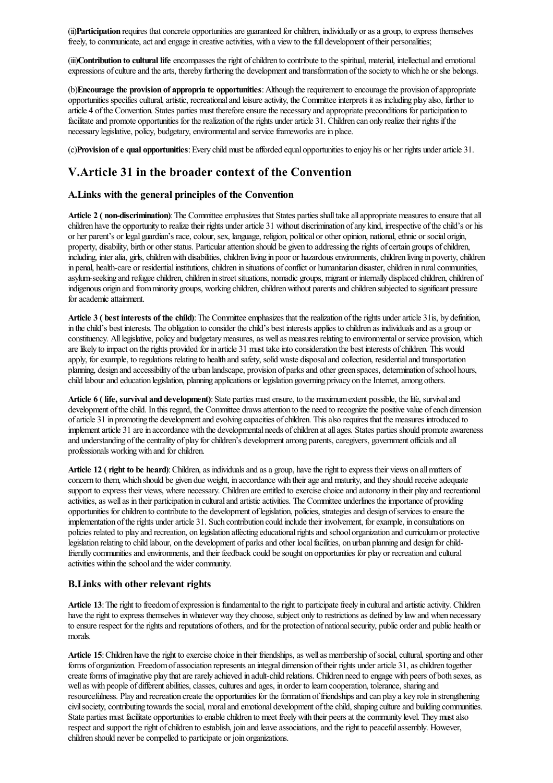(ii)**Participation** requires that concrete opportunities are guaranteed for children, individually or as a group, to express themselves freely, to communicate, act and engage in creative activities, with a view to the full development of their personalities;

(iii)**Contribution to cultural life** encompasses theright ofchildren to contributeto thespiritual, material, intellectualand emotional expressions of culture and the arts, thereby furthering the development and transformation of the society to which he or she belongs.

(b)**Encourage the provision of appropria te opportunities**:Although therequirement to encouragethe provision ofappropriate opportunities specifies cultural, artistic, recreational and leisure activity, the Committee interprets it as including play also, further to article 4 ofthe Convention. States parties must thereforeensurethe necessary and appropriate preconditions for participation to facilitate and promote opportunities for the realization of the rights under article 31. Children can only realize their rights if the necessary legislative, policy, budgetary, environmental and service frameworks are in place.

(c)**Provision ofe qual opportunities**:Every child must beafforded equal opportunities to enjoy his or her rights underarticle 31.

## **V.Article 31 in the broader context of the Convention**

#### **A.Links with the general principles of the Convention**

Article 2 ( non-discrimination): The Committee emphasizes that States parties shall take all appropriate measures to ensure that all children have the opportunity to realize their rights under article 31 without discrimination of any kind, irrespective of the child's or his or her parent's or legal guardian's race, colour, sex, language, religion, political or other opinion, national, ethnic or social origin, property, disability, birth or other status. Particularattention should be given to addressing therights ofcertain groups ofchildren, including, inter alia, girls, children with disabilities, children living in poor or hazardous environments, children living in poverty, children in penal, health-care or residential institutions, children in situations of conflict or humanitarian disaster, children in rural communities, asylum-seeking and refugee children, children in street situations, nomadic groups, migrant or internally displaced children, children of indigenous origin and from minority groups, working children, children without parents and children subjected to significant pressure for academic attainment.

**Article 3 ( best interests of the child)**:The Committeeemphasizes that therealization oftherights underarticle 31is, by definition, in the child's best interests. The obligation to consider the child's best interests applies to children as individuals and as a group or constituency. All legislative, policy and budgetary measures, as well as measures relating to environmental or service provision, which are likely to impact on the rights provided for in article 31 must take into consideration the best interests of children. This would apply, forexample, to regulations relating to health and safety, solid waste disposaland collection, residentialand transportation planning, design and accessibility ofthe urban landscape, provision of parksand other green spaces, determination ofschool hours, child labour and education legislation, planning applications or legislation governing privacy on the Internet, among others.

**Article 6 ( life, survival and development)**:State parties mustensure, to the maximumextent possible, thelife, survivaland development of the child. In this regard, the Committee draws attention to the need to recognize the positive value of each dimension ofarticle 31 in promoting the developmentand evolving capacities ofchildren. Thisalso requires that the measures introduced to implement article 31 are in accordance with the developmental needs of children at all ages. States parties should promote awareness and understanding of the centrality of play for children's development among parents, caregivers, government officials and all professionals working with and for children.

**Article** 12 (right to be heard): Children, as individuals and as a group, have the right to express their views on all matters of concern to them, which should be given due weight, in accordance with their age and maturity, and they should receive adequate support to express their views, where necessary. Children are entitled to exercise choice and autonomy in their play and recreational activities, as well as in their participation in cultural and artistic activities. The Committee underlines the importance of providing opportunities for children to contribute to the development of legislation, policies, strategies and design of services to ensure the implementation of the rights under article 31. Such contribution could include their involvement, for example, in consultations on policies related to play and recreation, on legislation affecting educationalrightsand school organization and curriculumor protective legislation relating to child labour, on the development of parks and other local facilities, on urban planning and design for childfriendly communities and environments, and their feedback could be sought on opportunities for play or recreation and cultural activities within the school and the wider community.

#### **B.Links** with other relevant rights

Article 13: The right to freedom of expression is fundamental to the right to participate freely in cultural and artistic activity. Children have the right to express themselves in whatever way they choose, subject only to restrictions as defined by law and when necessary to ensure respect for the rights and reputations of others, and for the protection of national security, public order and public health or morals.

Article 15: Children have the right to exercise choice in their friendships, as well as membership of social, cultural, sporting and other forms of organization. Freedom of association represents an integral dimension of their rights under article 31, as children together create forms of imaginative play that are rarely achieved in adult-child relations. Children need to engage with peers of both sexes, as well as with people of different abilities, classes, cultures and ages, in order to learn cooperation, tolerance, sharing and resourcefulness. Play and recreation create the opportunities for the formation of friendships and can play a key role in strengthening civil society, contributing towards the social, moral and emotional development of the child, shaping culture and building communities. State parties must facilitate opportunities to enable children to meet freely with their peers at the community level. They must also respect and support the right of children to establish, join and leave associations, and the right to peaceful assembly. However, children should never be compelled to participate or join organizations.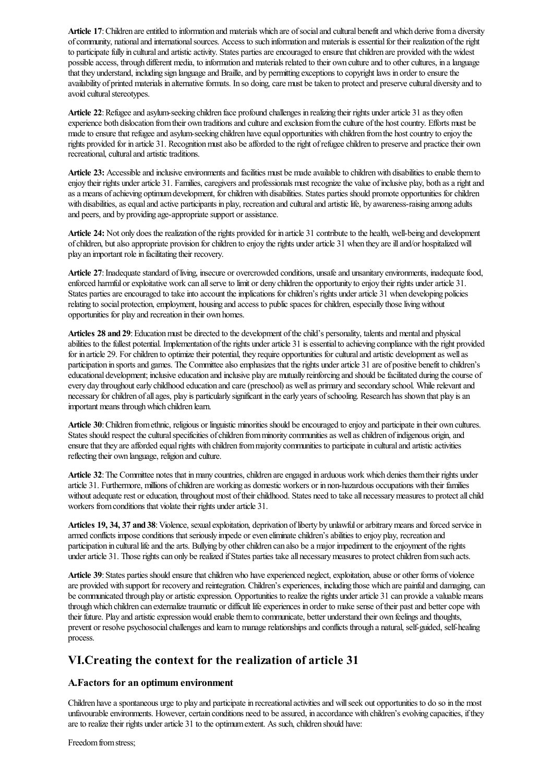**Article 17:** Children are entitled to information and materials which are of social and cultural benefit and which derive from a diversity of community, national and international sources. Access to such information and materials is essential for their realization of the right to participate fully in cultural and artistic activity. States parties are encouraged to ensure that children are provided with the widest possible access, through different media, to information and materials related to their own culture and to other cultures, in a language that they understand, including sign language and Braille, and by permitting exceptions to copyright laws in order to ensure the availability of printed materials in alternative formats. In so doing, care must be taken to protect and preserve cultural diversity and to avoid cultural stereotypes.

Article 22: Refugee and asylum-seeking children face profound challenges in realizing their rights under article 31 as they often experience both dislocation from their own traditions and culture and exclusion from the culture of the host country. Efforts must be made to ensure that refugee and asylum-seeking children have equal opportunities with children from the host country to enjoy the rights provided for in article 31. Recognition must also be afforded to the right of refugee children to preserve and practice their own recreational, cultural and artistic traditions.

**Article 23:** Accessible and inclusive environments and facilities must be made available to children with disabilities to enable them to enjoy their rights under article 31. Families, caregivers and professionals must recognize the value of inclusive play, both as a right and as a means of achieving optimum development, for children with disabilities. States parties should promote opportunities for children with disabilities, as equal and active participants in play, recreation and cultural and artistic life, by awareness-raising among adults and peers, and by providing age-appropriate support or assistance.

Article 24: Not only does the realization of the rights provided for in article 31 contribute to the health, well-being and development ofchildren, butalso appropriate provision forchildren to enjoy therights underarticle 31 when they areilland/or hospitalized will play an important role in facilitating their recovery.

Article 27: Inadequate standard of living, insecure or overcrowded conditions, unsafe and unsanitary environments, inadequate food, enforced harmful or exploitative work can all serve to limit or deny children the opportunity to enjoy their rights under article 31. States parties are encouraged to take into account the implications for children's rights under article 31 when developing policies relating to social protection, employment, housing and access to public spaces for children, especially those living without opportunities for play and recreation in their own homes.

**Articles 28 and 29**:Educationmust be directed to the development ofthechild's personality, talentsand mentaland physical abilities to the fullest potential. Implementation of the rights under article 31 is essential to achieving compliance with the right provided for in article 29. For children to optimize their potential, they require opportunities for cultural and artistic development as well as participation in sports and games. The Committee also emphasizes that the rights under article 31 are of positive benefit to children's educational development; inclusive education and inclusive play are mutually reinforcing and should be facilitated during the course of every day throughout early childhood education and care (preschool) as well as primary and secondary school. While relevant and necessary for children of all ages, play is particularly significant in the early years of schooling. Research has shown that play is an important means through which children learn.

**Article 30:** Children from ethnic, religious or linguistic minorities should be encouraged to enjoy and participate in their own cultures. States should respect the cultural specificities of children from minority communities as well as children of indigenous origin, and ensure that they are afforded equal rights with children from majority communities to participate in cultural and artistic activities reflecting their own language, religion and culture.

**Article 32:** The Committee notes that in many countries, children are engaged in arduous work which denies them their rights under article 31. Furthermore, millions ofchildren are working as domestic workers or in non-hazardous occupations with their families without adequate rest or education, throughout most of their childhood. States need to take all necessary measures to protect all child workers from conditions that violate their rights under article 31.

**Articles** 19, 34, 37 and 38: Violence, sexual exploitation, deprivation of liberty by unlawful or arbitrary means and forced service in armed conflicts impose conditions that seriously impede or even eliminate children's abilities to enjoy play, recreation and participation in cultural life and the arts. Bullying by other children can also be a major impediment to the enjoyment of the rights under article 31. Those rights can only be realized if States parties take all necessary measures to protect children from such acts.

Article 39: States parties should ensure that children who have experienced neglect, exploitation, abuse or other forms of violence are provided with support for recovery and reintegration. Children's experiences, including those which are painful and damaging, can be communicated through play or artistic expression. Opportunities to realize the rights under article 31 can provide a valuable means through which children can externalize traumatic or difficult life experiences in order to make sense of their past and better cope with their future. Play and artistic expression would enable them to communicate, better understand their own feelings and thoughts, prevent or resolve psychosocial challenges and learn to manage relationships and conflicts through a natural, self-guided, self-healing process.

## **VI.Creating the context for the realization of article 31**

#### **A.Factors for an optimum environment**

Children have a spontaneous urge to play and participate in recreational activities and will seek out opportunities to do so in the most unfavourable environments. However, certain conditions need to be assured, in accordance with children's evolving capacities, if they are to realize their rights under article 31 to the optimum extent. As such, children should have:

Freedom from stress;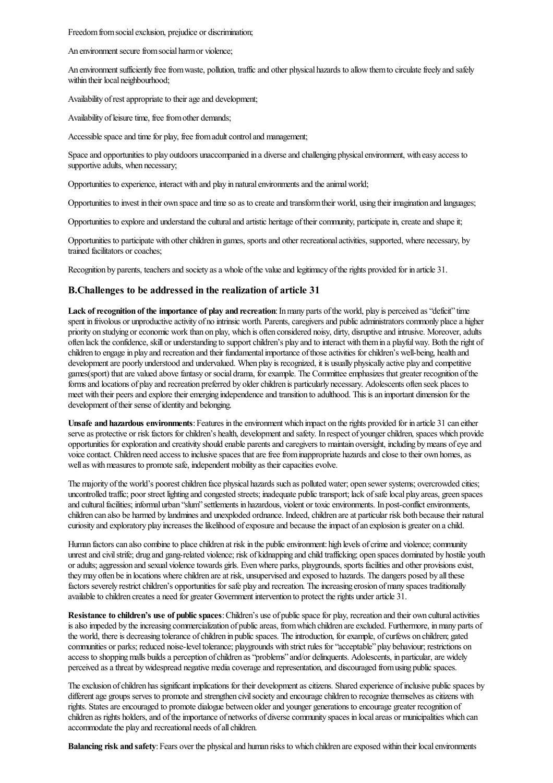Freedom from social exclusion, prejudice or discrimination;

An environment secure from social harm or violence;

An environment sufficiently free from waste, pollution, traffic and other physical hazards to allow them to circulate freely and safely within their local neighbourhood;

Availability of rest appropriate to their age and development;

Availability of leisure time, free from other demands;

Accessible space and time for play, free from adult control and management;

Space and opportunities to play outdoors unaccompanied in a diverse and challenging physical environment, with easy access to supportive adults, when necessary;

Opportunities to experience, interact with and play in naturalenvironmentsand theanimalworld;

Opportunities to invest in their own spaceand timeso as to createand transformtheir world, using their imagination and languages;

Opportunities to explore and understand the cultural and artistic heritage of their community, participate in, create and shape it:

Opportunities to participate with other children in games, sports and other recreational activities, supported, where necessary, by trained facilitators or coaches:

Recognition by parents, teachers and society as a whole of the value and legitimacy of the rights provided for in article 31.

#### **B.Challenges to be addressed in the realization of article 31**

**Lack ofrecognition of the importance of play and recreation**:Inmany parts ofthe world, play is perceived as"deficit"time spent in frivolous or unproductive activity of no intrinsic worth. Parents, caregivers and public administrators commonly place a higher priority on studying oreconomic work than on play, which is often considered noisy, dirty, disruptiveand intrusive. Moreover,adults often lack the confidence, skill or understanding to support children's play and to interact with them in a playful way. Both the right of children to engage in play and recreation and their fundamental importance of those activities for children's well-being, health and development are poorly understood and undervalued. When play is recognized, it is usually physically active play and competitive games(sport) that are valued above fantasy or social drama, for example. The Committee emphasizes that greater recognition of the forms and locations of play and recreation preferred by older children is particularly necessary. Adolescents often seek places to meet with their peers and explore their emerging independence and transition to adulthood. This is an important dimension for the development of their sense of identity and belonging.

**Unsafe and hazardous environments:** Features in the environment which impact on the rights provided for in article 31 can either serve as protective or risk factors for children's health, development and safety. In respect of younger children, spaces which provide opportunities for exploration and creativity should enable parents and caregivers to maintain oversight, including by means of eye and voice contact. Children need access to inclusive spaces that are free from inappropriate hazards and close to their own homes, as well as with measures to promote safe, independent mobility as their capacities evolve.

The majority of the world's poorest children face physical hazards such as polluted water; open sewer systems; overcrowded cities; uncontrolled traffic; poor street lighting and congested streets; inadequate public transport; lack of safe local play areas, green spaces and cultural facilities; informal urban "slum" settlements in hazardous, violent or toxic environments. In post-conflict environments, children can also be harmed by landmines and unexploded ordnance. Indeed, children are at particular risk both because their natural curiosity and exploratory play increases the likelihood of exposure and because the impact of an explosion is greater on a child.

Human factors can also combine to place children at risk in the public environment: high levels of crime and violence; community unrestand civilstrife; drug and gang-related violence; risk of kidnapping and child trafficking; open spaces dominated by hostile youth or adults; aggression and sexual violence towards girls. Even where parks, playgrounds, sports facilities and other provisions exist, they may often be in locations where children are at risk, unsupervised and exposed to hazards. The dangers posed by all these factors severely restrict children's opportunities for safe play and recreation. The increasing erosion of many spaces traditionally available to children creates a need for greater Government intervention to protect the rights under article 31.

Resistance to children's use of public spaces: Children's use of public space for play, recreation and their own cultural activities is also impeded by the increasing commercialization of public areas, from which children are excluded. Furthermore, in many parts of the world, there is decreasing tolerance of children in public spaces. The introduction, for example, of curfews on children; gated communities or parks; reduced noise-level tolerance; playgrounds with strict rules for "acceptable" play behaviour; restrictions on access to shopping malls builds a perception of children as "problems" and/or delinquents. Adolescents, in particular, are widely perceived asathreat bywidespread negative mediacoverageand representation,and discouraged fromusing publicspaces.

The exclusion of children has significant implications for their development as citizens. Shared experience of inclusive public spaces by different age groups serves to promote and strengthen civil society and encourage children to recognize themselves as citizens with rights. States are encouraged to promote dialogue between older and younger generations to encourage greater recognition of children as rights holders, and of the importance of networks of diverse community spaces in local areas or municipalities which can accommodate the play and recreational needs of all children.

**Balancing risk and safety**: Fears over the physical and human risks to which children are exposed within their local environments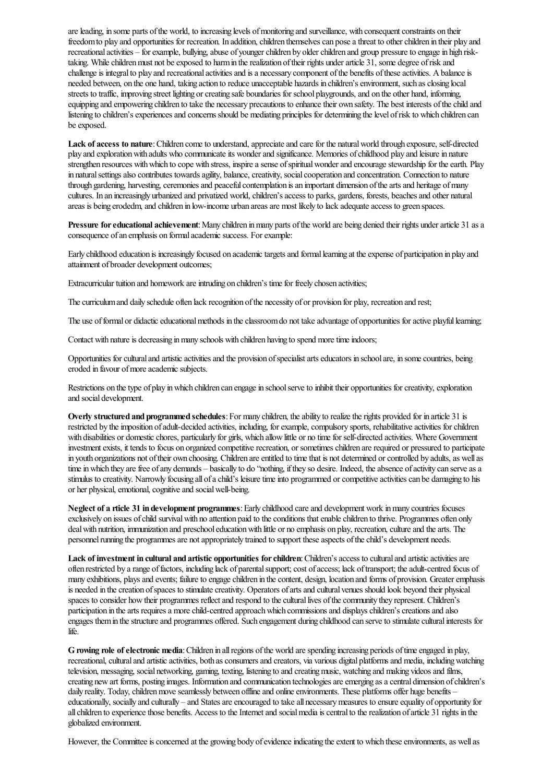are leading, in some parts of the world, to increasing levels of monitoring and surveillance, with consequent constraints on their freedom to play and opportunities for recreation. In addition, children themselves can pose a threat to other children in their play and recreational activities – for example, bullying, abuse of younger children by older children and group pressure to engage in high risktaking. While children must not be exposed to harm in the realization of their rights under article 31, some degree of risk and challenge is integral to play and recreational activities and is a necessary component of the benefits of these activities. A balance is needed between, on the one hand, taking action to reduce unacceptable hazards in children's environment, such as closing local streets to traffic, improving street lighting or creating safe boundaries for school playgrounds, and on the other hand, informing, equipping and empowering children to take the necessary precautions to enhance their own safety. The best interests of the child and listening to children's experiences and concerns should be mediating principles for determining the level of risk to which children can be exposed.

Lack of access to nature: Children come to understand, appreciate and care for the natural world through exposure, self-directed play and exploration with adults who communicate its wonder and significance. Memories of childhood play and leisure in nature strengthen resources with which to cope with stress, inspire a sense of spiritual wonder and encourage stewardship for the earth. Play in natural settings also contributes towards agility, balance, creativity, social cooperation and concentration. Connection to nature through gardening, harvesting, ceremonies and peaceful contemplation is an important dimension of the arts and heritage of many cultures. In an increasingly urbanized and privatized world, children's access to parks, gardens, forests, beaches and other natural areas is being erodedm, and children in low-income urban areas are most likely to lack adequate access to green spaces.

**Pressure for educational achievement**: Many children in many parts of the world are being denied their rights under article 31 as a consequence of an emphasis on formal academic success. For example:

Early childhood education is increasingly focused on academic targets and formal learning at the expense of participation in play and attainment of broader development outcomes;

Extracurricular tuition and homework are intruding on children's time for freely chosen activities;

The curriculum and daily schedule often lack recognition of the necessity of or provision for play, recreation and rest;

The use of formal or didactic educational methods in the classroom do not take advantage of opportunities for active playful learning;

Contact with nature is decreasing in many schools with children having to spend more time indoors;

Opportunities for cultural and artistic activities and the provision of specialist arts educators in school are, in some countries, being eroded in favour of more academic subjects.

Restrictions on the type of play in which children can engage in school serve to inhibit their opportunities for creativity, exploration and social development.

**Overly structured and programmed schedules:** For many children, the ability to realize the rights provided for in article 31 is restricted by the imposition of adult-decided activities, including, for example, compulsory sports, rehabilitative activities for children with disabilities or domestic chores, particularly for girls, which allow little or no time for self-directed activities. Where Government investment exists, it tends to focus on organized competitive recreation, or sometimes children are required or pressured to participate in youth organizations not of their own choosing. Children are entitled to time that is not determined or controlled by adults, as well as time in which they are free of any demands – basically to do "nothing, if they so desire. Indeed, the absence of activity can serve as a stimulus to creativity. Narrowly focusing all of a child's leisure time into programmed or competitive activities can be damaging to his or her physical, emotional, cognitive and social well-being.

**Neglect of a rticle 31 in development programmes: Early childhood care and development work in many countries focuses** exclusively on issues of child survival with no attention paid to the conditions that enable children to thrive. Programmes often only deal with nutrition, immunization and preschool education with little or no emphasis on play, recreation, culture and the arts. The personnel running the programmes are not appropriately trained to support these aspects of the child's development needs.

**Lack of investment in cultural and artistic opportunities forchildren**:Children'saccess to culturaland artisticactivitiesare often restricted by a range of factors, including lack of parental support; cost of access; lack of transport; the adult-centred focus of many exhibitions, plays and events; failure to engage children in the content, design, location and forms of provision. Greater emphasis is needed in the creation of spaces to stimulate creativity. Operators of arts and cultural venues should look beyond their physical spaces to consider how their programmes reflect and respond to the cultural lives of the community they represent. Children's participation in the arts requires a more child-centred approach which commissions and displays children's creations and also engages them in the structure and programmes offered. Such engagement during childhood can serve to stimulate cultural interests for life.

**Growing role ofelectronic media**:Children in allregions ofthe world arespending increasing periods oftimeengaged in play, recreational, cultural and artistic activities, both as consumers and creators, via various digital platforms and media, including watching television, messaging, social networking, gaming, texting, listening to and creatingmusic, watching and making videosand films, creating new art forms, posting images. Information and communication technologies are emerging as a central dimension of children's daily reality. Today, children move seamlessly between offline and online environments. These platforms offer huge benefits – educationally, socially and culturally – and States are encouraged to take all necessary measures to ensure equality of opportunity for all children to experience those benefits. Access to the Internet and social media is central to the realization of article 31 rights in the globalized environment.

However, the Committee is concerned at the growing body of evidence indicating the extent to which these environments, as well as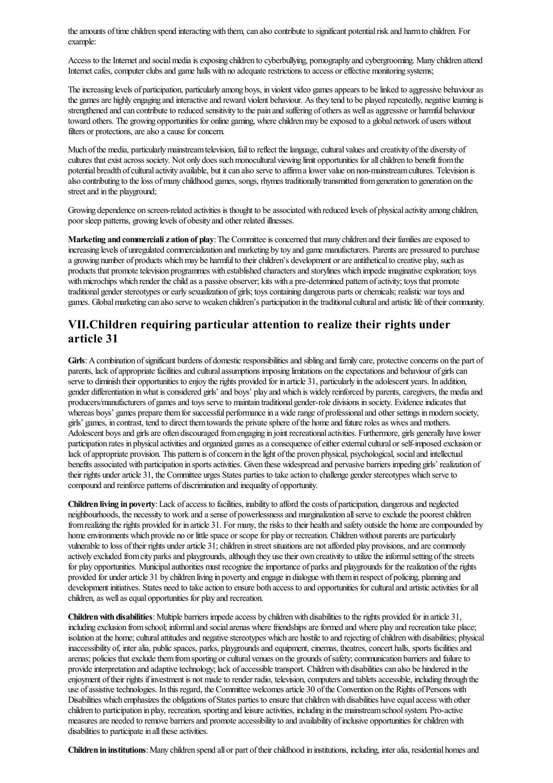the amounts of time children spend interacting with them, can also contribute to significant potential risk and harm to children. For example:

Access to the Internet and social media is exposing children to cyberbullying, pornography and cybergrooming. Many children attend Internet cafes, computer clubs and game halls with no adequate restrictions to access or effective monitoring systems;

The increasing levels of participation, particularly among boys, in violent video games appears to be linked to aggressive behaviour as the games are highly engaging and interactive and reward violent behaviour. As they tend to be played repeatedly, negative learning is strengthened and can contribute to reduced sensitivity to the pain and suffering of others as well as aggressive or harmful behaviour toward others. The growing opportunities for online gaming, where children may be exposed to a global network of users without filters or protections, are also a cause for concern.

Much of the media, particularly mainstream television, fail to reflect the language, cultural values and creativity of the diversity of cultures that exist across society. Not only does such monocultural viewing limit opportunities for all children to benefit from the potential breadth of cultural activity available, but it can also serve to affirm a lower value on non-mainstream cultures. Television is also contributing to the loss of many childhood games, songs, rhymes traditionally transmitted from generation to generation on the street and in the playground;

Growing dependence on screen-related activities is thought to be associated with reduced levels of physical activity among children, poor sleep patterns, growing levels of obesity and other related illnesses.

**Marketing and commerciali z ation of play:** The Committee is concerned that many children and their families are exposed to increasing levels of unregulated commercialization and marketing by toy and game manufacturers. Parents are pressured to purchase a growing number of products which may be harmful to their children's development or are antithetical to creative play, such as products that promote television programmes with established characters and storylines which impede imaginative exploration; toys with microchips which render the child as a passive observer; kits with a pre-determined pattern of activity; toys that promote traditional gender stereotypes orearly sexualization of girls; toyscontaining dangerous parts orchemicals; realistic war toysand games. Global marketing can also serve to weaken children's participation in the traditional cultural and artistic life of their community.

## **VII.Children requiring particular attention to realize their rights under article 31**

Girls: A combination of significant burdens of domestic responsibilities and sibling and family care, protective concerns on the part of parents, lack of appropriate facilities and cultural assumptions imposing limitations on the expectations and behaviour of girls can serve to diminish their opportunities to enjoy the rights provided for in article 31, particularly in the adolescent years. In addition, gender differentiation in what is considered girls' and boys' play and which is widely reinforced by parents, caregivers, the media and producers/manufacturers of games and toys serve to maintain traditional gender-role divisions in society. Evidence indicates that whereas boys' games prepare them for successful performance in a wide range of professional and other settings in modern society, girls' games, in contrast, tend to direct them towards the private sphere of the home and future roles as wives and mothers. Adolescent boys and girls are often discouraged from engaging in joint recreational activities. Furthermore, girls generally have lower participation rates in physical activities and organized games as a consequence of either external cultural or self-imposed exclusion or lack of appropriate provision. This pattern is of concern in the light of the proven physical, psychological, social and intellectual benefits associated with participation in sports activities. Given these widespread and pervasive barriers impeding girls' realization of their rights under article 31, the Committee urges States parties to take action to challenge gender stereotypes which serve to compound and reinforce patterns of discrimination and inequality of opportunity.

**Children living in poverty**:Lack ofaccess to facilities, inability to afford thecosts of participation, dangerousand neglected neighbourhoods, the necessity to work and a sense of powerlessness and marginalization all serve to exclude the poorest children from realizing the rights provided for in article 31. For many, the risks to their health and safety outside the home are compounded by home environments which provide no or little space or scope for play or recreation. Children without parents are particularly vulnerable to loss of their rights under article  $31$ ; children in street situations are not afforded play provisions, and are commonly actively excluded from city parks and playgrounds, although they use their own creativity to utilize the informal setting of the streets for play opportunities. Municipal authorities must recognize the importance of parks and playgrounds for the realization of the rights provided for under article 31 by children living in poverty and engage in dialogue with them in respect of policing, planning and development initiatives. States need to take action to ensure both access to and opportunities for cultural and artistic activities for all children, as well as equal opportunities for play and recreation.

**Children with disabilities**: Multiple barriers impede access by children with disabilities to the rights provided for in article 31, including exclusion from school; informal and social arenas where friendships are formed and where play and recreation take place; isolation at the home; cultural attitudes and negative stereotypes which are hostile to and rejecting of children with disabilities; physical inaccessibility of, inter alia, public spaces, parks, playgrounds and equipment, cinemas, theatres, concert halls, sports facilities and arenas; policies that exclude them from sporting or cultural venues on the grounds of safety; communication barriers and failure to provide interpretation and adaptive technology; lack of accessible transport. Children with disabilities can also be hindered in the enjoyment of their rights if investment is not made to render radio, television, computers and tablets accessible, including through the use of assistive technologies. In this regard, the Committee welcomes article 30 of the Convention on the Rights of Persons with Disabilities which emphasizes the obligations of States parties to ensure that children with disabilities have equal access with other children to participation in play, recreation, sporting and leisureactivities, including in the mainstreamschoolsystem. Pro-active measures are needed to remove barriers and promote accessibility to and availability of inclusive opportunities for children with disabilities to participate in all these activities.

**Children in institutions**: Many children spend all or part of their childhood in institutions, including, inter alia, residential homes and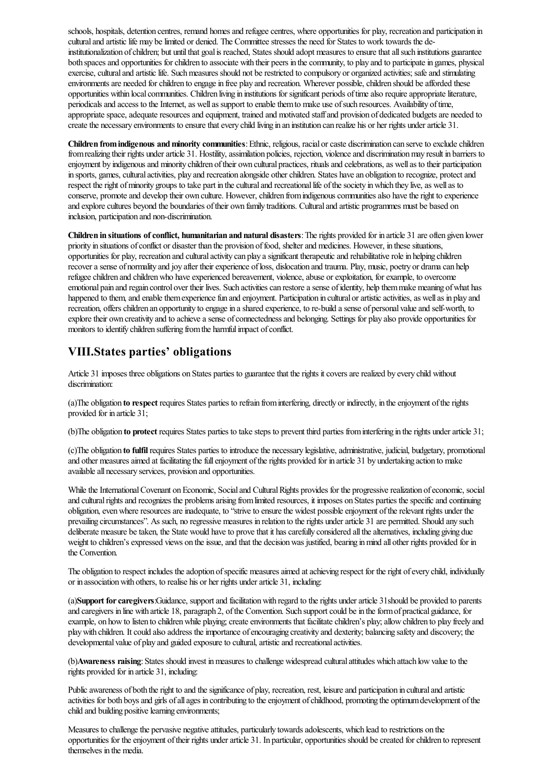schools, hospitals, detention centres, remand homes and refugee centres, where opportunities for play, recreation and participation in cultural and artistic life may be limited or denied. The Committee stresses the need for States to work towards the deinstitutionalization of children; but until that goal is reached, States should adopt measures to ensure that all such institutions guarantee both spaces and opportunities for children to associate with their peers in the community, to play and to participate in games, physical exercise, cultural and artistic life. Such measures should not be restricted to compulsory or organized activities; safe and stimulating environments are needed for children to engage in free play and recreation. Wherever possible, children should be afforded these opportunities within local communities. Children living in institutions for significant periods of time also require appropriate literature, periodicals and access to the Internet, as well as support to enable them to make use of such resources. Availability of time, appropriate space, adequate resources and equipment, trained and motivated staff and provision of dedicated budgets are needed to create the necessary environments to ensure that every child living in an institution can realize his or her rights under article 31.

**Children from indigenous and minority communities:** Ethnic, religious, racial or caste discrimination can serve to exclude children from realizing their rights under article 31. Hostility, assimilation policies, rejection, violence and discrimination may result in barriers to enjoyment by indigenous and minority children of their own cultural practices, rituals and celebrations, as well as to their participation in sports, games, cultural activities, play and recreation alongside other children. States have an obligation to recognize, protect and respect the right of minority groups to take part in the cultural and recreational life of the society in which they live, as well as to conserve, promote and develop their own culture. However, children from indigenous communities also have the right to experience and explore cultures beyond the boundaries of their own family traditions. Cultural and artistic programmes must be based on inclusion, participation and non-discrimination.

**Children in situations ofconflict, humanitarian and natural disasters**:Therights provided for in article 31 are often given lower priority in situations of conflict or disaster than the provision of food, shelter and medicines. However, in these situations, opportunities for play, recreation and culturalactivity can play asignificant therapeuticand rehabilitativerolein helping children recover a sense of normality and joy after their experience of loss, dislocation and trauma. Play, music, poetry or drama can help refugee children and children who have experienced bereavement, violence, abuse or exploitation, for example, to overcome emotional pain and regain control over their lives. Such activities can restore a sense of identity, help them make meaning of what has happened to them, and enable them experience fun and enjoyment. Participation in cultural or artistic activities, as well as in play and recreation, offers children an opportunity to engage in a shared experience, to re-build a sense of personal value and self-worth, to explore their own creativity and to achieve a sense of connectedness and belonging. Settings for play also provide opportunities for monitors to identify children suffering from the harmful impact of conflict.

## **VIII.States parties' obligations**

Article 31 imposes three obligations on States parties to guarantee that the rights it covers are realized by every child without discrimination:

(a)The obligation **to respect** requires States parties to refrain frominterfering, directly or indirectly, in theenjoyment oftherights provided for in article 31;

(b)The obligation **to protect** requires States parties to takesteps to prevent third parties frominterfering in therights underarticle 31;

(c)The obligation **to fulfil** requires States parties to introduce the necessary legislative, administrative, judicial, budgetary, promotional and other measures aimed at facilitating the full enjoyment of the rights provided for in article 31 by undertaking action to make available all necessary services, provision and opportunities.

While the International Covenant on Economic, Social and Cultural Rights provides for the progressive realization of economic, social and cultural rights and recognizes the problems arising from limited resources, it imposes on States parties the specific and continuing obligation, even where resources are inadequate, to "strive to ensure the widest possible enjoyment of the relevant rights under the prevailing circumstances". As such, no regressive measures in relation to therights underarticle 31 are permitted. Should any such deliberate measure be taken, the State would have to prove that it has carefully considered all the alternatives, including giving due weight to children's expressed views on the issue, and that the decision was justified, bearing in mind all other rights provided for in the Convention.

The obligation to respect includes the adoption of specific measures aimed at achieving respect for the right of every child, individually or in association with others, to realise his or her rights under article 31, including:

(a)**Support forcaregivers**:Guidance, supportand facilitationwith regard to therights underarticle 31should be provided to parents and caregivers in line with article 18, paragraph 2, of the Convention. Such support could be in the form of practical guidance, for example, on how to listen to children while playing; create environments that facilitate children's play; allow children to play freely and playwith children. Itcould also address theimportance ofencouraging creativity and dexterity; balancing safety and discovery; the developmental value of play and guided exposure to cultural, artistic and recreational activities.

(b)**Awareness raising**:States should invest inmeasures to challenge widespread culturalattitudes which attach lowvalueto the rights provided for in article 31, including:

Public awareness of both the right to and the significance of play, recreation, rest, leisure and participation in cultural and artistic activities for both boys and girls of all ages in contributing to the enjoyment of childhood, promoting the optimum development of the child and building positive learning environments;

Measures to challenge the pervasive negative attitudes, particularly towards adolescents, which lead to restrictions on the opportunities for the enjoyment of their rights under article 31. In particular, opportunities should be created for children to represent themselves in the media.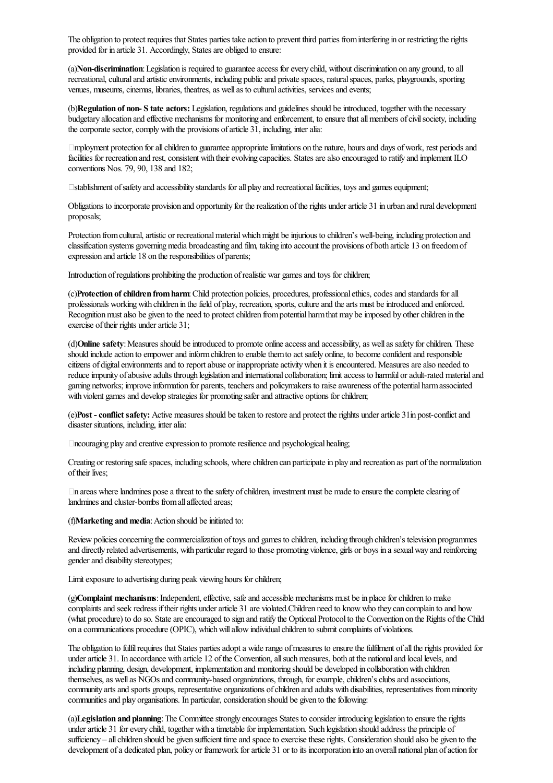The obligation to protect requires that States parties take action to prevent third parties from interfering in or restricting the rights provided for in article 31. Accordingly, States are obliged to ensure:

(a) Non-discrimination: Legislation is required to guarantee access for every child, without discrimination on any ground, to all recreational, cultural and artistic environments, including public and private spaces, natural spaces, parks, playgrounds, sporting venues, museums, cinemas, libraries, theatres, as well as to cultural activities, services and events;

(b)**Regulation of non- S tate actors:** Legislation, regulationsand guidelines should beintroduced, together with the necessary budgetary allocation and effective mechanisms for monitoring and enforcement, to ensure that all members of civil society, including the corporate sector, comply with the provisions of article 31, including, inter alia:

 $\Box$ mployment protection for all children to guarantee appropriate limitations on the nature, hours and days of work, rest periods and facilities for recreation and rest, consistent with their evolving capacities. States are also encouraged to ratify and implement ILO conventions Nos. 79, 90, 138 and 182;

stablishment ofsafety and accessibility standards forall play and recreationalfacilities, toysand gamesequipment;

Obligations to incorporate provision and opportunity for therealization oftherights underarticle 31 in urban and rural development proposals;

Protection from cultural, artistic or recreational material which might be injurious to children's well-being, including protection and classification systems governingmedia broadcasting and film, taking into account the provisions of both article 13 on freedomof expression and article 18 on the responsibilities of parents;

Introduction of regulations prohibiting the production of realistic war games and toys for children;

(c)Protection of children from harm: Child protection policies, procedures, professional ethics, codes and standards for all professionals working with children in the field of play, recreation, sports, culture and the arts must be introduced and enforced. Recognition must also be given to the need to protect children from potential harm that may be imposed by other children in the exercise of their rights under article 31;

(d)**Online safety**:Measures should beintroduced to promote onlineaccessand accessibility,as wellas safety forchildren. These should include action to empower and inform children to enable them to act safely online, to become confident and responsible citizens of digital environments and to report abuse or inappropriate activity when it is encountered. Measures are also needed to reduce impunity of abusive adults through legislation and international collaboration; limit access to harmful or adult-rated material and gaming networks; improve information for parents, teachers and policymakers to raise awareness of the potential harm associated with violent games and develop strategies for promoting safer and attractive options for children;

(e)**Post -conflict safety:** Active measures should betaken to restoreand protect therighhts underarticle 31in post-conflictand disaster situations, including, inter alia:

 $\Box$ ncouraging play and creative expression to promote resilience and psychological healing;

Creating or restoring safe spaces, including schools, where children can participate in play and recreation as part of the normalization oftheir lives;

 $\Box$ n areas where landmines pose a threat to the safety of children, investment must be made to ensure the complete clearing of landmines and cluster-bombs from all affected areas;

(f)Marketing and media: Action should be initiated to:

Review policies concerning the commercialization of toys and games to children, including through children's television programmes and directly related advertisements, with particular regard to those promoting violence, girls or boys in asexualway and reinforcing gender and disability stereotypes;

Limit exposure to advertising during peak viewing hours for children;

(g)**Complaint mechanisms**:Independent,effective, safeand accessible mechanisms must bein placeforchildren to make complaints and seek redress if their rights under article 31 are violated.Children need to know who they can complain to and how (what procedure) to do so. State are encouraged to sign and ratify the Optional Protocol to the Convention on the Rights of the Child on a communications procedure (OPIC), which will allow individual children to submit complaints of violations.

The obligation to fulfil requires that States parties adopt a wide range of measures to ensure the fulfilment of all the rights provided for under article 31. In accordance with article 12 of the Convention, all such measures, both at the national and local levels, and including planning, design, development, implementation and monitoring should be developed in collaborationwith children themselves, as well as NGOs and community-based organizations, through, for example, children's clubs and associations, community arts and sports groups, representative organizations of children and adults with disabilities, representatives from minority communities and play organisations. In particular, consideration should be given to the following:

(a)**Legislation and planning**: The Committee strongly encourages States to consider introducing legislation to ensure the rights under article 31 for every child, together with a timetable for implementation. Such legislation should address the principle of sufficiency – all children should be given sufficient time and space to exercise these rights. Consideration should also be given to the development of a dedicated plan, policy or framework for article 31 or to its incorporation into an overall national plan of action for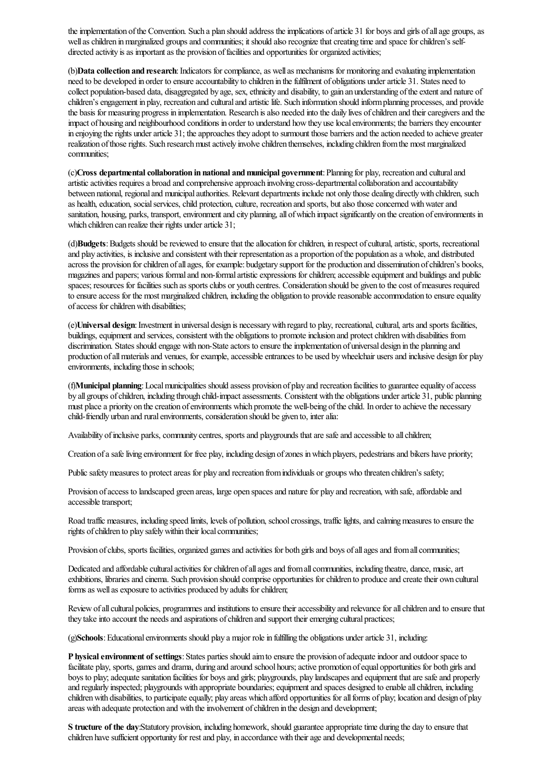the implementation of the Convention. Such a plan should address the implications of article 31 for boys and girls of all age groups, as well as children in marginalized groups and communities; it should also recognize that creating time and space for children's selfdirected activity is as important as the provision of facilities and opportunities for organized activities;

(b)**Data collection and research**: Indicators for compliance, as well as mechanisms for monitoring and evaluating implementation need to be developed in order to ensure accountability to children in the fulfilment of obligations under article 31. States need to collect population-based data, disaggregated by age, sex, ethnicity and disability, to gain an understanding of the extent and nature of children's engagement in play, recreation and cultural and artistic life. Such information should inform planning processes, and provide the basis for measuring progress in implementation. Research is also needed into the daily lives of children and their caregivers and the impact of housing and neighbourhood conditions in order to understand howthey uselocalenvironments; the barriers they encounter in enjoying the rights under article 31; the approaches they adopt to surmount those barriers and the action needed to achieve greater realization ofthoserights. Such researchmustactively involvechildren themselves, including children fromthe mostmarginalized communities;

(c)**Cross departmentalcollaboration in national andmunicipal government**:Planning for play, recreation and culturaland artistic activities requires a broad and comprehensive approach involving cross-departmental collaboration and accountability between national, regional and municipal authorities. Relevant departments include not only those dealing directly with children, such as health, education, social services, child protection, culture, recreation and sports, but also those concerned with water and sanitation, housing, parks, transport, environment and city planning, all of which impact significantly on the creation of environments in which children can realize their rights under article 31;

(d)**Budgets**:Budgets should bereviewed to ensurethat theallocation forchildren, in respect ofcultural,artistic, sports, recreational and play activities, is inclusive and consistent with their representation as a proportion of the population as a whole, and distributed across the provision for children of all ages, for example: budgetary support for the production and dissemination of children's books, magazines and papers; various formal and non-formal artistic expressions for children; accessible equipment and buildings and public spaces; resources for facilities such as sports clubs or youth centres. Consideration should be given to the cost of measures required to ensure access for the most marginalized children, including the obligation to provide reasonable accommodation to ensure equality of access for children with disabilities;

(e)**Universal design**:Investment in universal design is necessarywith regard to play, recreational,cultural,artsand sports facilities, buildings, equipment and services, consistent with the obligations to promote inclusion and protect children with disabilities from discrimination. States should engage with non-State actors to ensure the implementation of universal design in the planning and production of all materials and venues, for example, accessible entrances to be used by wheelchair users and inclusive design for play environments, including those in schools;

(f)**Municipal planning**:Localmunicipalities should assess provision of play and recreation facilities to guaranteeequality ofaccess by all groups of children, including through child-impact assessments. Consistent with the obligations under article 31, public planning must place a priority on the creation of environments which promote the well-being of the child. In order to achieve the necessary child-friendly urban and rural environments, consideration should be given to, inter alia:

Availability of inclusive parks, community centres, sports and playgrounds that are safe and accessible to all children;

Creation of a safe living environment for free play, including design of zones in which players, pedestrians and bikers have priority;

Public safety measures to protect areas for play and recreation from individuals or groups who threaten children's safety;

Provision of access to landscaped green areas, large open spaces and nature for play and recreation, with safe, affordable and accessible transport;

Road traffic measures, including speed limits, levels of pollution, school crossings, traffic lights, and calming measures to ensure the rights of children to play safely within their local communities;

Provision of clubs, sports facilities, organized games and activities for both girls and boys of all ages and from all communities;

Dedicated and affordable cultural activities for children of all ages and from all communities, including theatre, dance, music, art exhibitions, libraries and cinema. Such provision should comprise opportunities for children to produce and create their own cultural forms as well as exposure to activities produced by adults for children;

Review of all cultural policies, programmes and institutions to ensure their accessibility and relevance for all children and to ensure that they take into account the needs and aspirations of children and support their emerging cultural practices;

(g)**Schools**: Educational environments should play a major role in fulfilling the obligations under article 31, including:

**P** hysical environment of settings: States parties should aim to ensure the provision of adequate indoor and outdoor space to facilitate play, sports, games and drama, during and around school hours; active promotion of equal opportunities for both girls and boys to play; adequate sanitation facilities for boys and girls; playgrounds, play landscapes and equipment that are safe and properly and regularly inspected; playgrounds with appropriate boundaries; equipment and spaces designed to enable all children, including children with disabilities, to participate equally; play areas which afford opportunities for all forms of play; location and design of play areas with adequate protection and with the involvement of children in the design and development;

**S tructure of the day**:Statutory provision, including homework, should guaranteeappropriatetime during the day to ensurethat children have sufficient opportunity for rest and play, in accordance with their age and developmental needs;